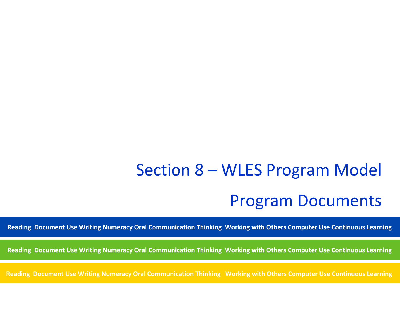# Section 8 – WLES Program Model Program Documents

**Reading Document Use Writing Numeracy Oral Communication Thinking Working with Others Computer Use Continuous Learning**

**Reading Document Use Writing Numeracy Oral Communication Thinking Working with Others Computer Use Continuous Learning**

**Reading Document Use Writing Numeracy Oral Communication Thinking Working with Others Computer Use Continuous Learning**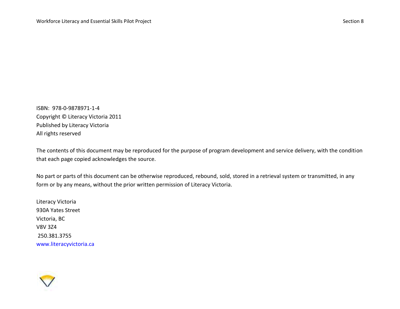ISBN: 978-0-9878971-1-4 Copyright © Literacy Victoria 2011 Published by Literacy Victoria All rights reserved

The contents of this document may be reproduced for the purpose of program development and service delivery, with the condition that each page copied acknowledges the source.

No part or parts of this document can be otherwise reproduced, rebound, sold, stored in a retrieval system or transmitted, in any form or by any means, without the prior written permission of Literacy Victoria.

Literacy Victoria 930A Yates Street Victoria, BC V8V 3Z4 250.381.3755 www.literacyvictoria.ca

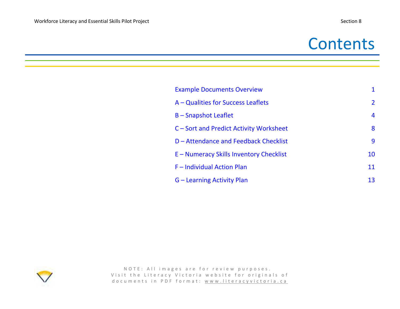## **Contents**

| <b>Example Documents Overview</b>       | 1              |
|-----------------------------------------|----------------|
| A – Qualities for Success Leaflets      | $\overline{2}$ |
| <b>B-Snapshot Leaflet</b>               | 4              |
| C – Sort and Predict Activity Worksheet | 8              |
| D - Attendance and Feedback Checklist   | 9              |
| E - Numeracy Skills Inventory Checklist | 10             |
| F - Individual Action Plan              | 11             |
| G – Learning Activity Plan              | 13             |

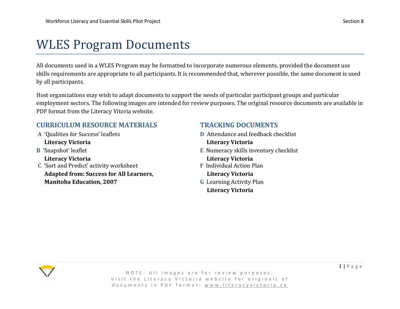## <span id="page-3-0"></span>WLES Program Documents

All documents used in a WLES Program may be formatted to incorporate numerous elements, provided the document use skills requirements are appropriate to all participants. It is recommended that, wherever possible, the same document is used by all participants.

Host organizations may wish to adapt documents to support the needs of particular participant groups and particular employment sectors. The following images are intended for review purposes. The original resource documents are available in PDF format from the Literacy Vitoria website.

### **CURRICULUM RESOURCE MATERIALS TRACKING DOCUMENTS**

- **Literacy Victoria Literacy Victoria**
- 
- **C** 'Sort and Predict' activity worksheet **F** Individual Action Plan  **Adapted from: Success for All Learners, Literacy Victoria Manitoba Education, 2007 G** Learning Activity Plan

- **A** 'Qualities for Success' leaflets **D** Attendance and feedback checklist
- **B** 'Snapshot' leaflet **E** Numeracy skills inventory checklist  **Literacy Victoria Literacy Victoria** 
	-
	- **Literacy Victoria**

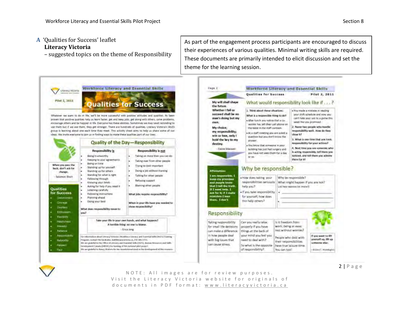#### <span id="page-4-0"></span>**A** 'Qualities for Success' leaflet  **Literacy Victoria**

– suggested topics on the theme of Responsibility

As part of the engagement process participants are encouraged to discuss their experiences of various qualities. Minimal writing skills are required. These documents are primarily intended to elicit discussion and set the theme for the learning session.



 $2 | P \text{ age}$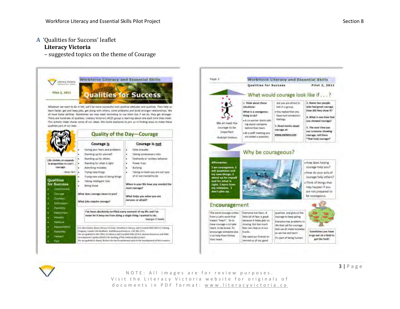- **A** 'Qualities for Success' leaflet  **Literacy Victoria**
	- suggested topics on the theme of Courage







NOTE: All images are for review purposes. Visit the Literacy Victoria website for originals of d o c u m e n t s in PDF format: www.literacyvictoria.ca  $3 | P \text{age}$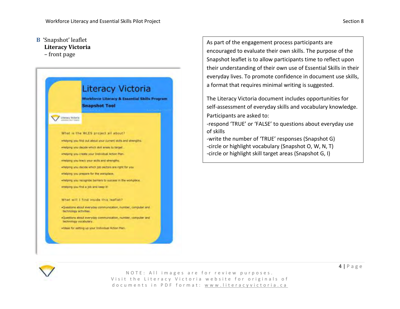### <span id="page-6-0"></span>**B** 'Snapshot' leaflet **Literacy Victoria**

– front page



As part of the engagement process participants are encouraged to evaluate their own skills. The purpose of the Snapshot leaflet is to allow participants time to reflect upon their understanding of their own use of Essential Skills in their everyday lives. To promote confidence in document use skills, a format that requires minimal writing is suggested.

The Literacy Victoria document includes opportunities for self-assessment of everyday skills and vocabulary knowledge. Participants are asked to:

-respond 'TRUE' or 'FALSE' to questions about everyday use of skills

-write the number of 'TRUE' responses (Snapshot G) -circle or highlight vocabulary (Snapshot O, W, N, T) -circle or highlight skill target areas (Snapshot G, I)

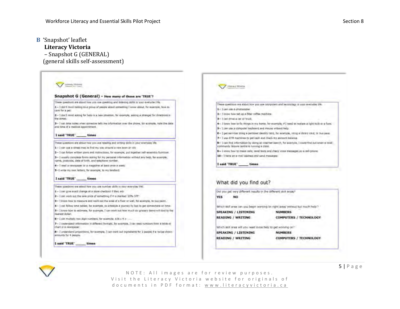### **B** 'Snapshot' leaflet

#### **Literacy Victoria**

 – Snapshot G (GENERAL) (general skills self-assessment)

Allmaty Victima **Domeci Pictures** Snapshot G (General) - How many of these are 'TRUE'? These questions are about how you use speaking and listening statis in your everyday life. These questions are about how you use corporters and technology in your everyday life. 1-1 don't mind taiking to a genus of people alunit spreating Curew about. for example, how to  $1 - 1$  can sum a shotocotier. care for a pet: 2- I know how set up a filter coffee machine. 2-1 don't mind asking for help in a new struction, for example, asking a stranger for directions in 3 - L'oni drivé a car or truck the street. 3- I can take notes when someone tells me information over the phone, for example, note the deter 4- I know have to fix things in my harm, for example, if I need to replace a light built or a furniand time of a medical appointment. 5- I can use a computer leyboard and mouse without help. 6- I get services dong a personal identity card, for example, using a library card, or bus pass. I said 'TRUE' times 7- I was ATM machines to get cash and check my account balance. These questions are about how you use reading and writing skills in your averyday life. 8- I can find information by doing an internet search, for example, I could find out when a local contmunity leisure centre is running a class. 1-1 can use a street map to find my way eround a new town or city 9- I know how to make calls, send fewts and check voice messages on a cell-phone. 1-1 can follow written pierts and instructions, for example, put together self-assembly furniture. 10-1 have an a-mail address and send messages 3-1 usually complete forms asking for my personal information without any help, for example, name, postcode, date of birth, and telephone nimber. I said 'TRUE' times 4-1 med a newspaper or a magazine at least once a week. 5-1 unter my own letters, for example, to my landlord. 1 said 'TRUE' times What did you find out? These questions are about how you use number skills in your everyday life. Out you get very different results in the different skill areas? 1- I can give exact change at a store checkout if they axis 2-I can work out the sale price of samidbing if it is marked '20% OFF' **YES** NO<sub>1</sub> 3-1 know how to measure and work out the area of a floor or wall. for example, to buy paint. 4-1 can follow time-tables, for example, to schedule a yourney by hus to get somewhere on time. Which ekill area can you begin working on right away without too much help ? 5-1 know flow to estimate, for example, I can work out how much air grocery items will cost to the **SPEAKING / LISTENING NUMBERS** munest dollar. **READING / WRITING COMPUTERS / TECHNOLOGY** 6-1 can multiply two digit numbers, for example, \$36 x 4 = ...... 7- I understand information in different formats, for example, J can read numbers from a table of chart in a newspaper Which skill area will you need more help to get working on? 8- I understand proportions, for example, I can eask out ingredients for 2 people if a recipe shows **SPEAKING / LISTENING** NUMBERS amounts for 4 people. **READING / WRITING COMPUTERS / TECHNOLOGY** 1 said 'TRUE' times



NOTE: All images are for review purposes. Visit the Literacy Victoria website for originals of d o c u m e n t s in PDF format: www.literacyvictoria.ca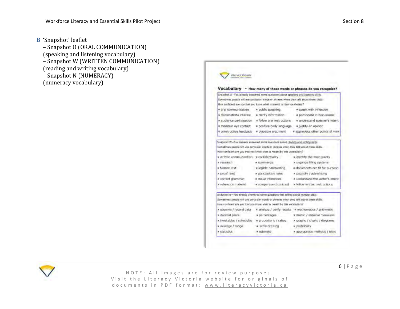- **B** 'Snapshot' leaflet
	- Snapshot O (ORAL COMMUNICATION) (speaking and listening vocabulary) – Snapshot W (WRITTEN COMMUNICATION) (reading and writing vocabulary) – Snapshot N (NUMERACY) (numeracy vocabulary)

**Literacy Vactoria** Vocabulary - How many of these words or phrases do you recognize? Snamhot O-You already antivered some questions about speaking and intering pulse Somethnes people will use patticular words or phrases when they talk about these skills. How confident are you that you know what is meant by this vocabulary? = speek with inflection = oral communication = public speaking « participate in discussions x demonstrate interest - x clarify information \* audence participation \* follow aral instructions \* understand speaker's intent x maintain eye contact w positive body language w justify an opinion a constructive feedback a plausible argument a appreciate other points of view Snapshot W-You already entirered some guestions about reading and writing sidly Sonatines people will use perticular words or phrases when they talk about these skills. How confident are you that you know when is meant by this vocabilitie? » written communication » confidentiality a identify the main points a research · summarize » organize filing systems w format text « legible handwriting » documents are fit for purpose x proof read » punctuation rules \* publicity / advertising w corriect gramman » make inferences # understand the writer's intent a referance material \* compare and contrast \*\* x follow written instructions Siscoltof N-You already answered some questions that talked about number skills Sometimes people will use particular words or phrases when they talk about these skills. How confident are you that you know what is meant by this vocabulary?" x observe / record data x analyze / verify results x mathematics / anthroutic a decimal place \* percentages x metric / imperial measures x timetables / schedules x proportions / ratios x graphs / charts / diagrams. # average / range a scale drawing » probability **H** statistics # estimate **\* appropriate methods / tools** 



NOTE: All images are for review purposes. Visit the Literacy Victoria website for originals of d o c u m e n t s in PDF format: www.literacyvictoria.ca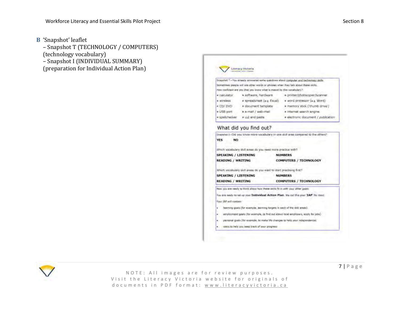- **B** 'Snapshot' leaflet
	- Snapshot T (TECHNOLOGY / COMPUTERS) (technology vocabulary)
	- Snapshot I (INDIVIDUAL SUMMARY)
	- (preparation for Individual Action Plan)

|                                                                                       |                                                                                                                                                              | Snapshot T-You arready answered some questions about computer and technology stolls.                                                                                        |
|---------------------------------------------------------------------------------------|--------------------------------------------------------------------------------------------------------------------------------------------------------------|-----------------------------------------------------------------------------------------------------------------------------------------------------------------------------|
|                                                                                       |                                                                                                                                                              | Sometimes people mil use other words or phrases when they talk about these skills.                                                                                          |
|                                                                                       | now configurit are you that you know what is meant by this vocabulary?                                                                                       |                                                                                                                                                                             |
| a calculator                                                                          | a software, hardware                                                                                                                                         | = printer/photocopier/scanner                                                                                                                                               |
| a wireless                                                                            | # spreadsheet (e.g Excel)                                                                                                                                    | · word processor (e.g. Word)                                                                                                                                                |
| # ED/ DVD                                                                             | a document template                                                                                                                                          | * memory stick ("thumb drive")                                                                                                                                              |
| # USB port                                                                            | a e-mail / web-mail                                                                                                                                          | # internet search engine                                                                                                                                                    |
| a spellchecker                                                                        | # LLC and paste                                                                                                                                              | # electronic document / publication                                                                                                                                         |
| NO                                                                                    | Which vocabulary skill areas do you need more practice with?                                                                                                 | Snapshot I-Did you know more vocabulary in one skill area compared to the differs?<br><b>NUMBERS</b>                                                                        |
|                                                                                       |                                                                                                                                                              | <b>COMPUTERS / TECHNOLOGY</b>                                                                                                                                               |
| <b>VFS</b><br><b>SPEAKING / LISTENING</b><br><b>READING / WRITING</b>                 | Which wicabulary skill areas do you want to start practising first?                                                                                          |                                                                                                                                                                             |
|                                                                                       |                                                                                                                                                              | <b>NUMBERS</b><br>COMPUTERS / TECHNOLOGY                                                                                                                                    |
| <b>SPEAKING / LISTENING</b><br><b>READING / WRITING</b><br>Your IAP will contain<br>٠ | Now you are ready to think about how these skills fit in with your other goals.<br>learning goals (for example, learning targets in each of the soil areas). | You are ready to ret up your Individual Action Plan. We call this your 'IAP' for their<br>employment goals (for example, in find out about local employers, apply for jobs) |
|                                                                                       | ways to help you keep treck of your progress                                                                                                                 | personal goals (for example, to make life changes to help your independence).                                                                                               |

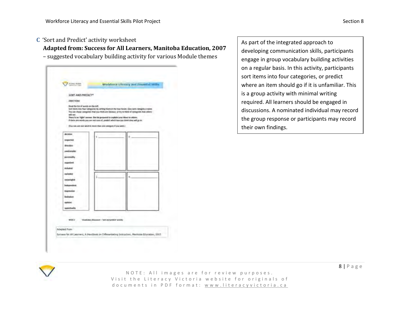#### <span id="page-10-0"></span>**C** 'Sort and Predict' activity worksheet

 **Adapted from: Success for All Learners, Manitoba Education, 2007** 

– suggested vocabulary building activity for various Module themes

|                                                |                                                                               | Workforce Library and Promitel Sidin                                                                                                                                                                                                                                                        |  |
|------------------------------------------------|-------------------------------------------------------------------------------|---------------------------------------------------------------------------------------------------------------------------------------------------------------------------------------------------------------------------------------------------------------------------------------------|--|
| <b>SORT AND PREDICTS</b>                       |                                                                               |                                                                                                                                                                                                                                                                                             |  |
| <b>DIRECTIONS</b>                              |                                                                               |                                                                                                                                                                                                                                                                                             |  |
| First the boost words on the left.<br>all not. | There is no 'right' answer. But the proposed to unplain your kinst to others. | fairt sterm ledo files categories by writing them in the loss boxes, some earth rategory a name.<br>You can chose categories that you think are identical, of by to think of categories that others<br>If there are words you are not care of, predict which box you tried they will go in. |  |
|                                                | (Fore take core over word in money chan one company if you wish )             |                                                                                                                                                                                                                                                                                             |  |
| distant                                        |                                                                               |                                                                                                                                                                                                                                                                                             |  |
| защителя                                       |                                                                               |                                                                                                                                                                                                                                                                                             |  |
| discline                                       |                                                                               |                                                                                                                                                                                                                                                                                             |  |
| period overable                                |                                                                               |                                                                                                                                                                                                                                                                                             |  |
| percentative.                                  |                                                                               |                                                                                                                                                                                                                                                                                             |  |
| arganized                                      |                                                                               |                                                                                                                                                                                                                                                                                             |  |
| witholist .                                    |                                                                               |                                                                                                                                                                                                                                                                                             |  |
| exitates                                       |                                                                               |                                                                                                                                                                                                                                                                                             |  |
| <b><i><u>APPOINTMENT</u></i></b>               |                                                                               |                                                                                                                                                                                                                                                                                             |  |
| listependent                                   |                                                                               |                                                                                                                                                                                                                                                                                             |  |
| <b>ANDERSHIPS</b>                              |                                                                               |                                                                                                                                                                                                                                                                                             |  |
| <b>Beatures</b>                                |                                                                               |                                                                                                                                                                                                                                                                                             |  |
| <b>Asketist</b>                                |                                                                               |                                                                                                                                                                                                                                                                                             |  |
| namienaniny                                    |                                                                               |                                                                                                                                                                                                                                                                                             |  |

As part of the integrated approach to developing communication skills, participants engage in group vocabulary building activities on a regular basis. In this activity, participants sort items into four categories, or predict where an item should go if it is unfamiliar. This is a group activity with minimal writing required. All learners should be engaged in discussions. A nominated individual may record the group response or participants may record their own findings.



N O T E : All images are for review purposes. Visit the Literacy Victoria website for originals of d o c u m e n t s in P D F f o r m a t : w w w . liter a c y v i c t o r i a . c a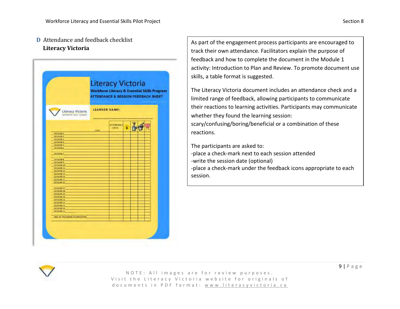#### <span id="page-11-0"></span>**D** Attendance and feedback checklist  **Literacy Victoria**

|                                                       |                                                                             | <b>Workforce Literacy &amp; Essential Skills Program</b><br><b>ATTENDANCE &amp; SESSION FEEDBACK SHEET</b> |  | <b>Literacy Victoria</b> |  |  |
|-------------------------------------------------------|-----------------------------------------------------------------------------|------------------------------------------------------------------------------------------------------------|--|--------------------------|--|--|
| Literacy Victoria<br><b>Percentive about Lisabeth</b> | <b><i><u>FIRM COLL</u></i></b><br><b>STATISTICS</b><br><b>LEARNER NAME:</b> |                                                                                                            |  |                          |  |  |
|                                                       | <b>CATL</b>                                                                 | <b>ATTENDANCE</b><br><b>CHAIN</b>                                                                          |  |                          |  |  |
| session to                                            |                                                                             |                                                                                                            |  |                          |  |  |
| <b>MASSIVEZ</b>                                       |                                                                             |                                                                                                            |  |                          |  |  |
| 55550 N 5                                             |                                                                             |                                                                                                            |  |                          |  |  |
| SESSION 4<br><b>SESSION 5</b>                         |                                                                             |                                                                                                            |  |                          |  |  |
| <b>14550WA</b>                                        |                                                                             |                                                                                                            |  |                          |  |  |
|                                                       |                                                                             |                                                                                                            |  |                          |  |  |
| <b>SESSION 7</b>                                      |                                                                             |                                                                                                            |  |                          |  |  |
| <b>SESSADR 8</b>                                      |                                                                             |                                                                                                            |  |                          |  |  |
| 56550W.3                                              |                                                                             |                                                                                                            |  |                          |  |  |
| SESSATIV 10                                           |                                                                             |                                                                                                            |  |                          |  |  |
| <b>SESSION LT.</b>                                    |                                                                             |                                                                                                            |  |                          |  |  |
| <b>MANON ST</b><br><b>SESSION 13</b>                  |                                                                             |                                                                                                            |  |                          |  |  |
| - 1655KW34                                            |                                                                             |                                                                                                            |  |                          |  |  |
| SESSION 15                                            |                                                                             |                                                                                                            |  |                          |  |  |
| <b>SESSION 10</b>                                     |                                                                             |                                                                                                            |  |                          |  |  |
| <b>SEXSKIN 17</b>                                     |                                                                             |                                                                                                            |  |                          |  |  |
| <b>SESSION SH</b>                                     |                                                                             |                                                                                                            |  |                          |  |  |
| <b>SESSION 39</b>                                     |                                                                             |                                                                                                            |  |                          |  |  |
| SESNION 2D                                            |                                                                             |                                                                                                            |  |                          |  |  |
| <b>SESSION 21</b>                                     |                                                                             |                                                                                                            |  |                          |  |  |
| <b>SESSION 22</b>                                     |                                                                             |                                                                                                            |  |                          |  |  |
| <b>SESSION 21</b><br>LESSION 24                       |                                                                             |                                                                                                            |  |                          |  |  |
| <b>SESANDN 25</b>                                     |                                                                             |                                                                                                            |  |                          |  |  |
|                                                       |                                                                             |                                                                                                            |  |                          |  |  |
| <b>END OF TROGRAM CELEBRATIONS</b>                    |                                                                             |                                                                                                            |  |                          |  |  |
|                                                       |                                                                             |                                                                                                            |  |                          |  |  |

As part of the engagement process participants are encouraged to track their own attendance. Facilitators explain the purpose of feedback and how to complete the document in the Module 1 activity: Introduction to Plan and Review. To promote document use skills, a table format is suggested.

The Literacy Victoria document includes an attendance check and a limited range of feedback, allowing participants to communicate their reactions to learning activities. Participants may communicate whether they found the learning session: scary/confusing/boring/beneficial or a combination of these reactions.

The participants are asked to:

-place a check-mark next to each session attended

-write the session date (optional)

-place a check-mark under the feedback icons appropriate to each session.

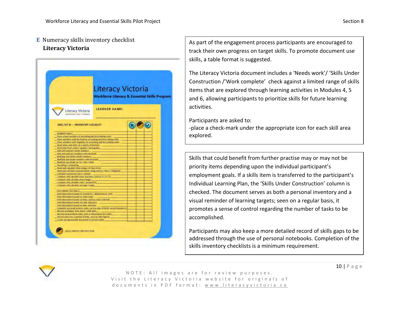#### <span id="page-12-0"></span>**E** Numeracy skills inventory checklist  **Literacy Victoria**

|                                                                                                                                                                                                                                                                                                                                                                                                                                                                                                                                                                                                                                                                                                                                                                                                                                                                                                                 | Literacy Victoria<br><b>Workforce Literacy &amp; Essential Skills Program</b> |  |  |  |  |
|-----------------------------------------------------------------------------------------------------------------------------------------------------------------------------------------------------------------------------------------------------------------------------------------------------------------------------------------------------------------------------------------------------------------------------------------------------------------------------------------------------------------------------------------------------------------------------------------------------------------------------------------------------------------------------------------------------------------------------------------------------------------------------------------------------------------------------------------------------------------------------------------------------------------|-------------------------------------------------------------------------------|--|--|--|--|
| <b>Literacy Victoria</b><br>avever level inter incorpore                                                                                                                                                                                                                                                                                                                                                                                                                                                                                                                                                                                                                                                                                                                                                                                                                                                        | LEARNER NAME:                                                                 |  |  |  |  |
| SIGHT SET N - HIVENTORY CHECKLIST                                                                                                                                                                                                                                                                                                                                                                                                                                                                                                                                                                                                                                                                                                                                                                                                                                                                               |                                                                               |  |  |  |  |
| Figure which maniferra in gramming and descending over<br>then sumbrit with drobbasic in automing and descenting order<br>Place mumbers with negotives its assembling and descending onles<br>Recall forms and dates in a veriens refinerate.<br>tinai data humahad sa marka / pictuacem.<br>Add and subtract whole nutriers.<br>Add and subtract numbers with mixteesk<br>Attributy and divide white standards<br>Mortigly, and divide marriers with sistemate.<br>Martigly and divide by 15 / 300 / 3000<br><b>Busining/edimitry</b><br>Anist and calculate time assign 24 Neurobock<br>Road and can slate antasamming and gamma / Home / Shigam<br>Calculate permanent away continue.<br>CANGUIR, HIM CANCULARY, DANA: TRAFFICHA, VALID AN IS 2 TO 7 ST.<br>- Company and calculate percentages<br>Company and substants ratio 7 personnel<br>Company, and sufficient persons 2 times.<br>DOCUMENT DVC DOUG. |                                                                               |  |  |  |  |
| East information hased on a names is: / alabamines is: Lode<br>Eind Information itseed am date todel<br>East information hasn't on tree, stolt as a bas relentedy.<br>Enginformation linear muscule and pola-<br>First information Sport on size and line.<br>Complete pressingl number stata has has state of both complementaries.<br><b>Become workplace form steps / shift data</b><br>herald residented data, just as directednical auto-<br>- Record data tives a period of time, such as takes has tell<br>the distance contact this are of this person data                                                                                                                                                                                                                                                                                                                                             |                                                                               |  |  |  |  |

As part of the engagement process participants are encouraged to track their own progress on target skills. To promote document use skills, a table format is suggested.

The Literacy Victoria document includes a 'Needs work'/ 'Skills Under Construction /'Work complete' check against a limited range of skills items that are explored through learning activities in Modules 4, 5 and 6, allowing participants to prioritize skills for future learning activities.

Participants are asked to:

-place a check-mark under the appropriate icon for each skill area explored.

Skills that could benefit from further practise may or may not be priority items depending upon the individual participant's employment goals. If a skills item is transferred to the participant's Individual Learning Plan, the 'Skills Under Construction' column is checked. The document serves as both a personal inventory and a visual reminder of learning targets; seen on a regular basis, it promotes a sense of control regarding the number of tasks to be accomplished.

Participants may also keep a more detailed record of skills gaps to be addressed through the use of personal notebooks. Completion of the skills inventory checklists is a minimum requirement.

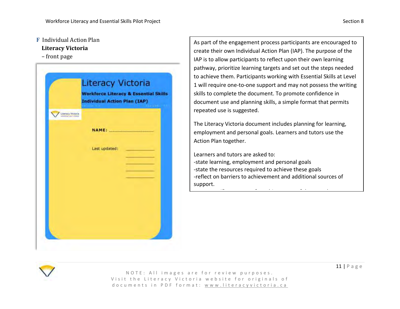#### <span id="page-13-0"></span>**F** Individual Action Plan

#### **Literacy Victoria**

– front page

|                   | <b>Literacy Victoria</b><br><b>Workforce Literacy &amp; Essential Skills</b><br><b>Individual Action Plan (IAP)</b> | <b>COLLECT</b> |
|-------------------|---------------------------------------------------------------------------------------------------------------------|----------------|
| Literacy Victoria |                                                                                                                     |                |
|                   | <b>NAME:</b>                                                                                                        |                |
|                   | Last updated:                                                                                                       |                |
|                   |                                                                                                                     |                |
|                   |                                                                                                                     |                |
|                   |                                                                                                                     |                |
|                   |                                                                                                                     |                |
|                   |                                                                                                                     |                |
|                   |                                                                                                                     |                |

As part of the engagement process participants are encouraged to create their own Individual Action Plan (IAP). The purpose of the IAP is to allow participants to reflect upon their own learning pathway, prioritize learning targets and set out the steps needed to achieve them. Participants working with Essential Skills at Level 1 will require one-to-one support and may not possess the writing skills to complete the document. To promote confidence in document use and planning skills, a simple format that permits repeated use is suggested.

The Literacy Victoria document includes planning for learning, employment and personal goals. Learners and tutors use the Action Plan together.

Learners and tutors are asked to: -state learning, employment and personal goals -state the resources required to achieve these goals -reflect on barriers to achievement and additional sources of support.

-state specific outcomes for achievement of these goals

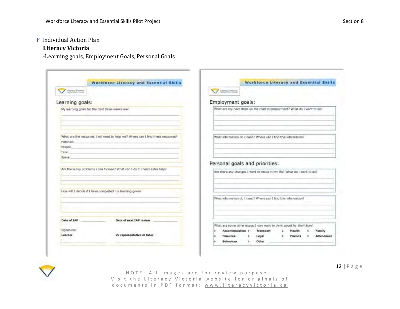#### **F** Individual Action Plan

#### **Literacy Victoria**

-Learning goals, Employment Goals, Personal Goals

|                              | <b>Workforce Literacy and Essential Skills</b>                                   | <b>Workforce Literacy and Essential Skills</b>                          |
|------------------------------|----------------------------------------------------------------------------------|-------------------------------------------------------------------------|
| Literacy/Pictures            |                                                                                  | / Literacy Victoria                                                     |
| Learning goals:              |                                                                                  | Employment goals:                                                       |
|                              | My learning goals for the next three weeks are:                                  | What are my next steps on the road to employment? What do I want to do? |
|                              |                                                                                  |                                                                         |
| Materials:                   | What are the resources I will need to help me? Where can I find these resources? | What information do I need? Where can I find this information?          |
| People!                      |                                                                                  |                                                                         |
| Time:                        |                                                                                  |                                                                         |
| <b><i><u>RIGHT</u>AT</i></b> |                                                                                  |                                                                         |
|                              | Are there any problems I can foresee? What can I do if I need extra help?        | Personal goals and priorities:                                          |
|                              |                                                                                  | Are there any changes I want to make in my life? What do I want to do?  |
|                              |                                                                                  |                                                                         |
|                              | How will I deade if I have completed my learning goals?                          |                                                                         |
|                              |                                                                                  | What information do I need? Where can I find this information?          |
| Date of <b>IAP</b>           | Date of next IAP review                                                          |                                                                         |
|                              |                                                                                  | What are some other issues I may want to think about for the future?    |
| Signatures:                  |                                                                                  | Accommodation 6<br>Transport<br>Health<br>Family<br>۵                   |
| Learner                      | LV representative or tutor                                                       | Legal<br><b>Attendance</b><br>Finances<br>Friends<br>۰<br>ö             |
|                              |                                                                                  | Other<br>Behaviour<br>ò-                                                |

12 | P a g e